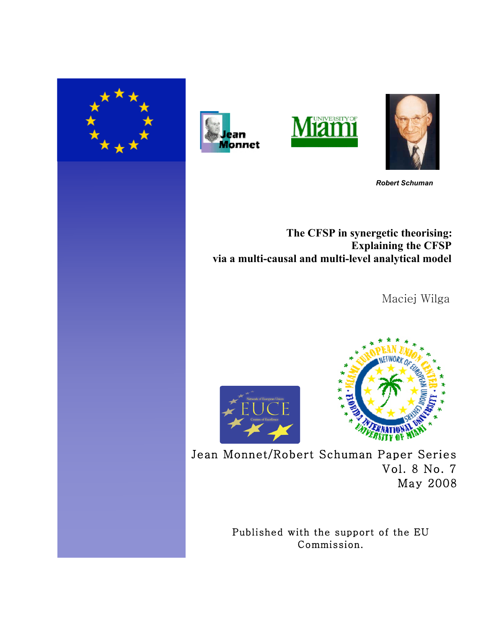







 *Robert Schuman*

**The CFSP in synergetic theorising: Explaining the CFSP via a multi-causal and multi-level analytical model**

Maciej Wilga





Jean Monnet/Robert Schuman Paper Series Vol. 8 No. 7 May 2008

> Published with the support of the EU Commission.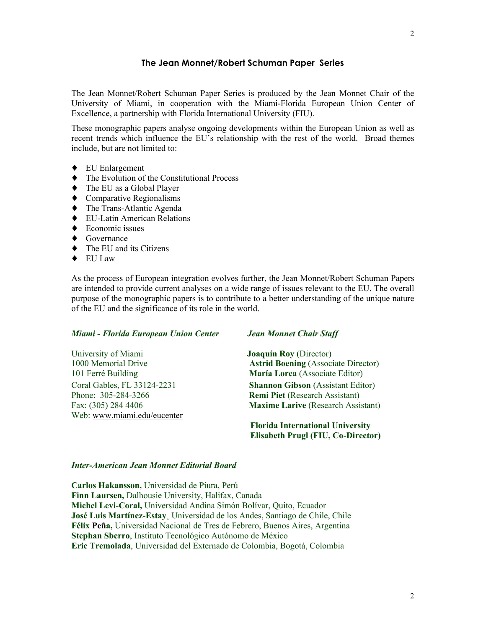# **The Jean Monnet/Robert Schuman Paper Series**

The Jean Monnet/Robert Schuman Paper Series is produced by the Jean Monnet Chair of the University of Miami, in cooperation with the Miami-Florida European Union Center of Excellence, a partnership with Florida International University (FIU).

These monographic papers analyse ongoing developments within the European Union as well as recent trends which influence the EU's relationship with the rest of the world. Broad themes include, but are not limited to:

- ♦ EU Enlargement
- ♦ The Evolution of the Constitutional Process
- ♦ The EU as a Global Player
- ♦ Comparative Regionalisms
- ♦ The Trans-Atlantic Agenda
- ♦ EU-Latin American Relations
- $\triangleleft$  Economic issues
- ♦ Governance
- $\blacklozenge$  The EU and its Citizens
- ♦ EU Law

As the process of European integration evolves further, the Jean Monnet/Robert Schuman Papers are intended to provide current analyses on a wide range of issues relevant to the EU. The overall purpose of the monographic papers is to contribute to a better understanding of the unique nature of the EU and the significance of its role in the world.

# *Miami - Florida European Union Center Jean Monnet Chair Staff*

University of Miami **Joaquín Roy** (Director) Phone: 305-284-3266 **Remi Piet** (Research Assistant) Web: www.miami.edu/eucenter

1000 Memorial Drive **Astrid Boening** (Associate Director) 101 Ferré Building **María Lorca** (Associate Editor) Coral Gables, FL 33124-2231 **Shannon Gibson** (Assistant Editor) Fax: (305) 284 4406 **Maxime Larive** (Research Assistant)

> **Florida International University Elisabeth Prugl (FIU, Co-Director)**

#### *Inter-American Jean Monnet Editorial Board*

**Carlos Hakansson,** Universidad de Piura, Perú **Finn Laursen,** Dalhousie University, Halifax, Canada **Michel Levi-Coral,** Universidad Andina Simón Bolívar, Quito, Ecuador **José Luis Martínez-Estay¸** Universidad de los Andes, Santiago de Chile, Chile **Félix Peña,** Universidad Nacional de Tres de Febrero, Buenos Aires, Argentina **Stephan Sberro**, Instituto Tecnológico Autónomo de México **Eric Tremolada**, Universidad del Externado de Colombia, Bogotá, Colombia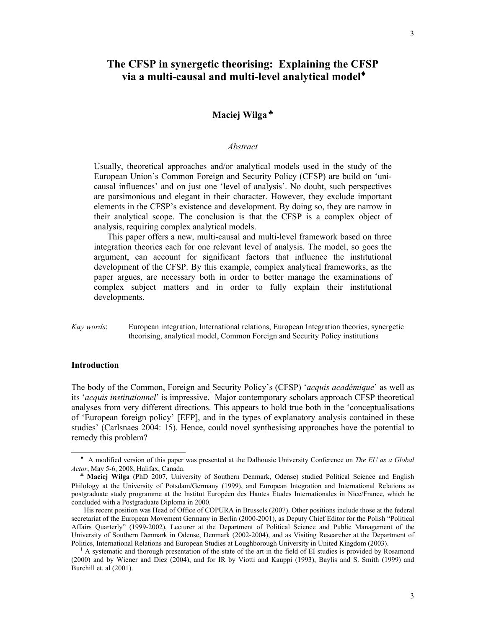# **The CFSP in synergetic theorising: Explaining the CFSP via a multi-causal and multi-level analytical model**♦

# **Maciej Wilga** ♣

#### *Abstract*

Usually, theoretical approaches and/or analytical models used in the study of the European Union's Common Foreign and Security Policy (CFSP) are build on 'unicausal influences' and on just one 'level of analysis'. No doubt, such perspectives are parsimonious and elegant in their character. However, they exclude important elements in the CFSP's existence and development. By doing so, they are narrow in their analytical scope. The conclusion is that the CFSP is a complex object of analysis, requiring complex analytical models.

This paper offers a new, multi-causal and multi-level framework based on three integration theories each for one relevant level of analysis. The model, so goes the argument, can account for significant factors that influence the institutional development of the CFSP. By this example, complex analytical frameworks, as the paper argues, are necessary both in order to better manage the examinations of complex subject matters and in order to fully explain their institutional developments.

*Kay words*: European integration, International relations, European Integration theories, synergetic theorising, analytical model, Common Foreign and Security Policy institutions

# **Introduction**

 $\overline{a}$ 

The body of the Common, Foreign and Security Policy's (CFSP) '*acquis académique*' as well as its '*acquis institutionnel*' is impressive. 1 Major contemporary scholars approach CFSP theoretical analyses from very different directions. This appears to hold true both in the 'conceptualisations of 'European foreign policy' [EFP], and in the types of explanatory analysis contained in these studies' (Carlsnaes 2004: 15). Hence, could novel synthesising approaches have the potential to remedy this problem?

♦ A modified version of this paper was presented at the Dalhousie University Conference on *The EU as a Global Actor*, May 5-6, 2008, Halifax, Canada.

♣ **Maciej Wilga** (PhD 2007, University of Southern Denmark, Odense) studied Political Science and English Philology at the University of Potsdam/Germany (1999), and European Integration and International Relations as postgraduate study programme at the Institut Européen des Hautes Etudes Internationales in Nice/France, which he concluded with a Postgraduate Diploma in 2000.

His recent position was Head of Office of COPURA in Brussels (2007). Other positions include those at the federal secretariat of the European Movement Germany in Berlin (2000-2001), as Deputy Chief Editor for the Polish "Political Affairs Quarterly" (1999-2002), Lecturer at the Department of Political Science and Public Management of the University of Southern Denmark in Odense, Denmark (2002-2004), and as Visiting Researcher at the Department of Politics, International Relations and European Studies at Loughborough University in United Kingdom (2003).

<sup>1</sup> A systematic and thorough presentation of the state of the art in the field of EI studies is provided by Rosamond (2000) and by Wiener and Diez (2004), and for IR by Viotti and Kauppi (1993), Baylis and S. Smith (1999) and Burchill et. al (2001).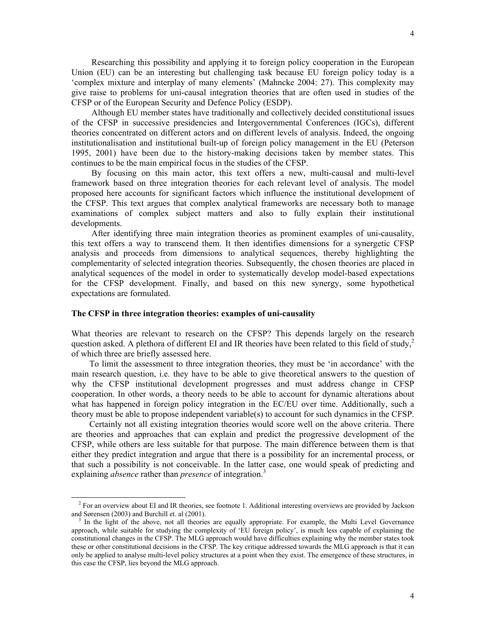Although EU member states have traditionally and collectively decided constitutional issues of the CFSP in successive presidencies and Intergovernmental Conferences (IGCs), different theories concentrated on different actors and on different levels of analysis. Indeed, the ongoing institutionalisation and institutional built-up of foreign policy management in the EU (Peterson 1995, 2001) have been due to the history-making decisions taken by member states. This continues to be the main empirical focus in the studies of the CFSP.

 By focusing on this main actor, this text offers a new, multi-causal and multi-level framework based on three integration theories for each relevant level of analysis. The model proposed here accounts for significant factors which influence the institutional development of the CFSP. This text argues that complex analytical frameworks are necessary both to manage examinations of complex subject matters and also to fully explain their institutional developments.

 After identifying three main integration theories as prominent examples of uni-causality, this text offers a way to transcend them. It then identifies dimensions for a synergetic CFSP analysis and proceeds from dimensions to analytical sequences, thereby highlighting the complementarity of selected integration theories. Subsequently, the chosen theories are placed in analytical sequences of the model in order to systematically develop model-based expectations for the CFSP development. Finally, and based on this new synergy, some hypothetical expectations are formulated.

# **The CFSP in three integration theories: examples of uni-causality**

 $\overline{a}$ 

What theories are relevant to research on the CFSP? This depends largely on the research question asked. A plethora of different EI and IR theories have been related to this field of study.<sup>2</sup> of which three are briefly assessed here.

To limit the assessment to three integration theories, they must be 'in accordance' with the main research question, i.e. they have to be able to give theoretical answers to the question of why the CFSP institutional development progresses and must address change in CFSP cooperation. In other words, a theory needs to be able to account for dynamic alterations about what has happened in foreign policy integration in the EC/EU over time. Additionally, such a theory must be able to propose independent variable(s) to account for such dynamics in the CFSP.

Certainly not all existing integration theories would score well on the above criteria. There are theories and approaches that can explain and predict the progressive development of the CFSP, while others are less suitable for that purpose. The main difference between them is that either they predict integration and argue that there is a possibility for an incremental process, or that such a possibility is not conceivable. In the latter case, one would speak of predicting and explaining *absence* rather than *presence* of integration.<sup>3</sup>

<sup>&</sup>lt;sup>2</sup> For an overview about EI and IR theories, see footnote 1. Additional interesting overviews are provided by Jackson and Sørensen (2003) and Burchill et. al (2001).

<sup>3</sup> In the light of the above, not all theories are equally appropriate. For example, the Multi Level Governance approach, while suitable for studying the complexity of 'EU foreign policy', is much less capable of explaining the constitutional changes in the CFSP. The MLG approach would have difficulties explaining why the member states took these or other constitutional decisions in the CFSP. The key critique addressed towards the MLG approach is that it can only be applied to analyse multi-level policy structures at a point when they exist. The emergence of these structures, in this case the CFSP, lies beyond the MLG approach.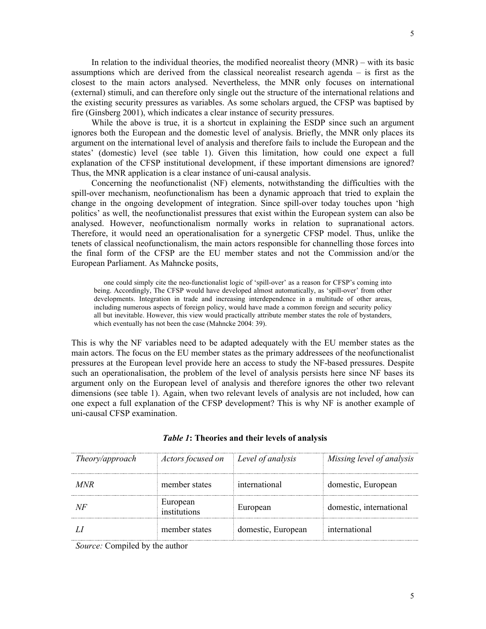In relation to the individual theories, the modified neorealist theory (MNR) – with its basic assumptions which are derived from the classical neorealist research agenda – is first as the closest to the main actors analysed. Nevertheless, the MNR only focuses on international (external) stimuli, and can therefore only single out the structure of the international relations and the existing security pressures as variables. As some scholars argued, the CFSP was baptised by fire (Ginsberg 2001), which indicates a clear instance of security pressures.

 While the above is true, it is a shortcut in explaining the ESDP since such an argument ignores both the European and the domestic level of analysis. Briefly, the MNR only places its argument on the international level of analysis and therefore fails to include the European and the states' (domestic) level (see table 1). Given this limitation, how could one expect a full explanation of the CFSP institutional development, if these important dimensions are ignored? Thus, the MNR application is a clear instance of uni-causal analysis.

 Concerning the neofunctionalist (NF) elements, notwithstanding the difficulties with the spill-over mechanism, neofunctionalism has been a dynamic approach that tried to explain the change in the ongoing development of integration. Since spill-over today touches upon 'high politics' as well, the neofunctionalist pressures that exist within the European system can also be analysed. However, neofunctionalism normally works in relation to supranational actors. Therefore, it would need an operationalisation for a synergetic CFSP model. Thus, unlike the tenets of classical neofunctionalism, the main actors responsible for channelling those forces into the final form of the CFSP are the EU member states and not the Commission and/or the European Parliament. As Mahncke posits,

 one could simply cite the neo-functionalist logic of 'spill-over' as a reason for CFSP's coming into being. Accordingly, The CFSP would have developed almost automatically, as 'spill-over' from other developments. Integration in trade and increasing interdependence in a multitude of other areas, including numerous aspects of foreign policy, would have made a common foreign and security policy all but inevitable. However, this view would practically attribute member states the role of bystanders, which eventually has not been the case (Mahncke 2004: 39).

This is why the NF variables need to be adapted adequately with the EU member states as the main actors. The focus on the EU member states as the primary addressees of the neofunctionalist pressures at the European level provide here an access to study the NF-based pressures. Despite such an operationalisation, the problem of the level of analysis persists here since NF bases its argument only on the European level of analysis and therefore ignores the other two relevant dimensions (see table 1). Again, when two relevant levels of analysis are not included, how can one expect a full explanation of the CFSP development? This is why NF is another example of uni-causal CFSP examination.

| Theory/approach                                                | Actors focused on Level of analysis |                    | Missing level of analysis |
|----------------------------------------------------------------|-------------------------------------|--------------------|---------------------------|
| MNR                                                            | member states                       | international      | domestic, European        |
| NH                                                             | European<br>institutions            | European           | domestic, international   |
|                                                                | member states                       | domestic, European | international             |
| $\alpha$ $\alpha$ $\alpha$ $\alpha$ $\alpha$ $\alpha$ $\alpha$ |                                     |                    |                           |

#### *Table 1***: Theories and their levels of analysis**

*Source:* Compiled by the author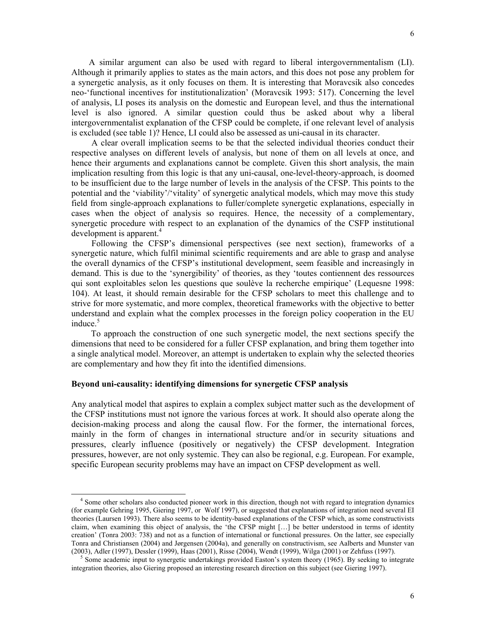A similar argument can also be used with regard to liberal intergovernmentalism (LI). Although it primarily applies to states as the main actors, and this does not pose any problem for a synergetic analysis, as it only focuses on them. It is interesting that Moravcsik also concedes neo-'functional incentives for institutionalization' (Moravcsik 1993: 517). Concerning the level of analysis, LI poses its analysis on the domestic and European level, and thus the international level is also ignored. A similar question could thus be asked about why a liberal intergovernmentalist explanation of the CFSP could be complete, if one relevant level of analysis is excluded (see table 1)? Hence, LI could also be assessed as uni-causal in its character.

 A clear overall implication seems to be that the selected individual theories conduct their respective analyses on different levels of analysis, but none of them on all levels at once, and hence their arguments and explanations cannot be complete. Given this short analysis, the main implication resulting from this logic is that any uni-causal, one-level-theory-approach, is doomed to be insufficient due to the large number of levels in the analysis of the CFSP. This points to the potential and the 'viability'/'vitality' of synergetic analytical models, which may move this study field from single-approach explanations to fuller/complete synergetic explanations, especially in cases when the object of analysis so requires. Hence, the necessity of a complementary, synergetic procedure with respect to an explanation of the dynamics of the CSFP institutional development is apparent.<sup>4</sup>

 Following the CFSP's dimensional perspectives (see next section), frameworks of a synergetic nature, which fulfil minimal scientific requirements and are able to grasp and analyse the overall dynamics of the CFSP's institutional development, seem feasible and increasingly in demand. This is due to the 'synergibility' of theories, as they 'toutes contiennent des ressources qui sont exploitables selon les questions que soulève la recherche empirique' (Lequesne 1998: 104). At least, it should remain desirable for the CFSP scholars to meet this challenge and to strive for more systematic, and more complex, theoretical frameworks with the objective to better understand and explain what the complex processes in the foreign policy cooperation in the EU induce. $5$ 

 To approach the construction of one such synergetic model, the next sections specify the dimensions that need to be considered for a fuller CFSP explanation, and bring them together into a single analytical model. Moreover, an attempt is undertaken to explain why the selected theories are complementary and how they fit into the identified dimensions.

# **Beyond uni-causality: identifying dimensions for synergetic CFSP analysis**

 $\overline{a}$ 

Any analytical model that aspires to explain a complex subject matter such as the development of the CFSP institutions must not ignore the various forces at work. It should also operate along the decision-making process and along the causal flow. For the former, the international forces, mainly in the form of changes in international structure and/or in security situations and pressures, clearly influence (positively or negatively) the CFSP development. Integration pressures, however, are not only systemic. They can also be regional, e.g. European. For example, specific European security problems may have an impact on CFSP development as well.

<sup>4</sup> Some other scholars also conducted pioneer work in this direction, though not with regard to integration dynamics (for example Gehring 1995, Giering 1997, or Wolf 1997), or suggested that explanations of integration need several EI theories (Laursen 1993). There also seems to be identity-based explanations of the CFSP which, as some constructivists claim, when examining this object of analysis, the 'the CFSP might […] be better understood in terms of identity creation' (Tonra 2003: 738) and not as a function of international or functional pressures. On the latter, see especially Tonra and Christiansen (2004) and Jørgensen (2004a), and generally on constructivism, see Aalberts and Munster van (2003), Adler (1997), Dessler (1999), Haas (2001), Risse (2004), Wendt (1999), Wilga (2001) or Zehfuss (1997).

<sup>&</sup>lt;sup>5</sup> Some academic input to synergetic undertakings provided Easton's system theory (1965). By seeking to integrate integration theories, also Giering proposed an interesting research direction on this subject (see Giering 1997).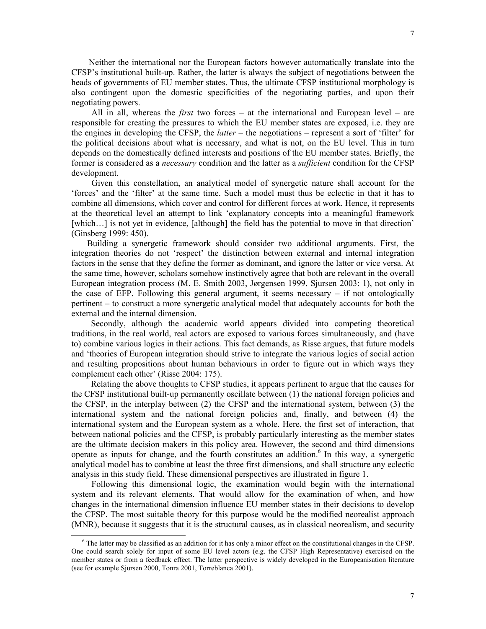Neither the international nor the European factors however automatically translate into the CFSP's institutional built-up. Rather, the latter is always the subject of negotiations between the heads of governments of EU member states. Thus, the ultimate CFSP institutional morphology is also contingent upon the domestic specificities of the negotiating parties, and upon their negotiating powers.

 All in all, whereas the *first* two forces – at the international and European level – are responsible for creating the pressures to which the EU member states are exposed, i.e. they are the engines in developing the CFSP, the *latter* – the negotiations – represent a sort of 'filter' for the political decisions about what is necessary, and what is not, on the EU level. This in turn depends on the domestically defined interests and positions of the EU member states. Briefly, the former is considered as a *necessary* condition and the latter as a *sufficient* condition for the CFSP development.

 Given this constellation, an analytical model of synergetic nature shall account for the 'forces' and the 'filter' at the same time. Such a model must thus be eclectic in that it has to combine all dimensions, which cover and control for different forces at work. Hence, it represents at the theoretical level an attempt to link 'explanatory concepts into a meaningful framework [which...] is not yet in evidence, [although] the field has the potential to move in that direction' (Ginsberg 1999: 450).

Building a synergetic framework should consider two additional arguments. First, the integration theories do not 'respect' the distinction between external and internal integration factors in the sense that they define the former as dominant, and ignore the latter or vice versa. At the same time, however, scholars somehow instinctively agree that both are relevant in the overall European integration process (M. E. Smith 2003, Jørgensen 1999, Sjursen 2003: 1), not only in the case of EFP. Following this general argument, it seems necessary – if not ontologically pertinent – to construct a more synergetic analytical model that adequately accounts for both the external and the internal dimension.

 Secondly, although the academic world appears divided into competing theoretical traditions, in the real world, real actors are exposed to various forces simultaneously, and (have to) combine various logics in their actions. This fact demands, as Risse argues, that future models and 'theories of European integration should strive to integrate the various logics of social action and resulting propositions about human behaviours in order to figure out in which ways they complement each other' (Risse 2004: 175).

 Relating the above thoughts to CFSP studies, it appears pertinent to argue that the causes for the CFSP institutional built-up permanently oscillate between (1) the national foreign policies and the CFSP, in the interplay between (2) the CFSP and the international system, between (3) the international system and the national foreign policies and, finally, and between (4) the international system and the European system as a whole. Here, the first set of interaction, that between national policies and the CFSP, is probably particularly interesting as the member states are the ultimate decision makers in this policy area. However, the second and third dimensions operate as inputs for change, and the fourth constitutes an addition. $6$  In this way, a synergetic analytical model has to combine at least the three first dimensions, and shall structure any eclectic analysis in this study field. These dimensional perspectives are illustrated in figure 1.

 Following this dimensional logic, the examination would begin with the international system and its relevant elements. That would allow for the examination of when, and how changes in the international dimension influence EU member states in their decisions to develop the CFSP. The most suitable theory for this purpose would be the modified neorealist approach (MNR), because it suggests that it is the structural causes, as in classical neorealism, and security

 $\overline{\phantom{a}}$ 

 $6$  The latter may be classified as an addition for it has only a minor effect on the constitutional changes in the CFSP. One could search solely for input of some EU level actors (e.g. the CFSP High Representative) exercised on the member states or from a feedback effect. The latter perspective is widely developed in the Europeanisation literature (see for example Sjursen 2000, Tonra 2001, Torreblanca 2001).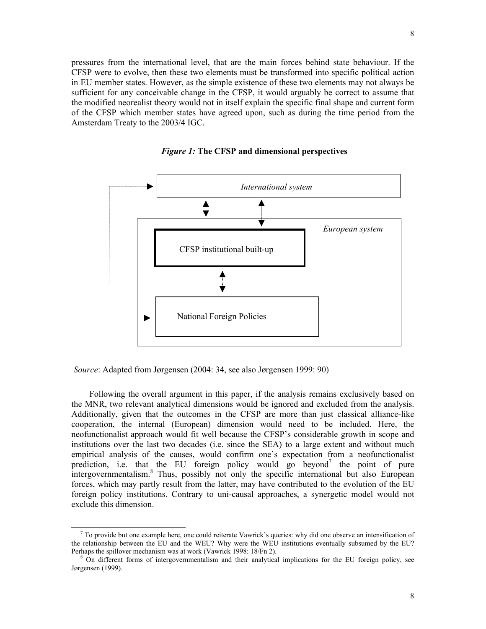pressures from the international level, that are the main forces behind state behaviour. If the CFSP were to evolve, then these two elements must be transformed into specific political action in EU member states. However, as the simple existence of these two elements may not always be sufficient for any conceivable change in the CFSP, it would arguably be correct to assume that the modified neorealist theory would not in itself explain the specific final shape and current form of the CFSP which member states have agreed upon, such as during the time period from the Amsterdam Treaty to the 2003/4 IGC.



*Figure 1:* **The CFSP and dimensional perspectives**

*Source*: Adapted from Jørgensen (2004: 34, see also Jørgensen 1999: 90)

 $\overline{\phantom{a}}$ 

Following the overall argument in this paper, if the analysis remains exclusively based on the MNR, two relevant analytical dimensions would be ignored and excluded from the analysis. Additionally, given that the outcomes in the CFSP are more than just classical alliance-like cooperation, the internal (European) dimension would need to be included. Here, the neofunctionalist approach would fit well because the CFSP's considerable growth in scope and institutions over the last two decades (i.e. since the SEA) to a large extent and without much empirical analysis of the causes, would confirm one's expectation from a neofunctionalist prediction, i.e. that the EU foreign policy would go beyond<sup>7</sup> the point of pure intergovernmentalism.<sup>8</sup> Thus, possibly not only the specific international but also European forces, which may partly result from the latter, may have contributed to the evolution of the EU foreign policy institutions. Contrary to uni-causal approaches, a synergetic model would not exclude this dimension.

 $^7$  To provide but one example here, one could reiterate Vawrick's queries: why did one observe an intensification of the relationship between the EU and the WEU? Why were the WEU institutions eventually subsumed by the EU? Perhaps the spillover mechanism was at work (Vawrick 1998: 18/Fn 2).

<sup>&</sup>lt;sup>8</sup> On different forms of intergovernmentalism and their analytical implications for the EU foreign policy, see Jørgensen (1999).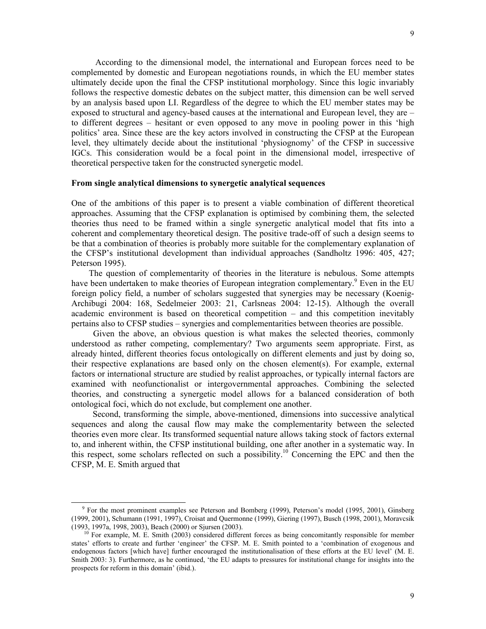According to the dimensional model, the international and European forces need to be complemented by domestic and European negotiations rounds, in which the EU member states ultimately decide upon the final the CFSP institutional morphology. Since this logic invariably follows the respective domestic debates on the subject matter, this dimension can be well served by an analysis based upon LI. Regardless of the degree to which the EU member states may be exposed to structural and agency-based causes at the international and European level, they are – to different degrees – hesitant or even opposed to any move in pooling power in this 'high politics' area. Since these are the key actors involved in constructing the CFSP at the European level, they ultimately decide about the institutional 'physiognomy' of the CFSP in successive IGCs. This consideration would be a focal point in the dimensional model, irrespective of theoretical perspective taken for the constructed synergetic model.

# **From single analytical dimensions to synergetic analytical sequences**

One of the ambitions of this paper is to present a viable combination of different theoretical approaches. Assuming that the CFSP explanation is optimised by combining them, the selected theories thus need to be framed within a single synergetic analytical model that fits into a coherent and complementary theoretical design. The positive trade-off of such a design seems to be that a combination of theories is probably more suitable for the complementary explanation of the CFSP's institutional development than individual approaches (Sandholtz 1996: 405, 427; Peterson 1995).

 The question of complementarity of theories in the literature is nebulous. Some attempts have been undertaken to make theories of European integration complementary.<sup>9</sup> Even in the EU foreign policy field, a number of scholars suggested that synergies may be necessary (Koenig-Archibugi 2004: 168, Sedelmeier 2003: 21, Carlsneas 2004: 12-15). Although the overall academic environment is based on theoretical competition – and this competition inevitably pertains also to CFSP studies – synergies and complementarities between theories are possible.

 Given the above, an obvious question is what makes the selected theories, commonly understood as rather competing, complementary? Two arguments seem appropriate. First, as already hinted, different theories focus ontologically on different elements and just by doing so, their respective explanations are based only on the chosen element(s). For example, external factors or international structure are studied by realist approaches, or typically internal factors are examined with neofunctionalist or intergovernmental approaches. Combining the selected theories, and constructing a synergetic model allows for a balanced consideration of both ontological foci, which do not exclude, but complement one another.

Second, transforming the simple, above-mentioned, dimensions into successive analytical sequences and along the causal flow may make the complementarity between the selected theories even more clear. Its transformed sequential nature allows taking stock of factors external to, and inherent within, the CFSP institutional building, one after another in a systematic way. In this respect, some scholars reflected on such a possibility.<sup>10</sup> Concerning the EPC and then the CFSP, M. E. Smith argued that

 $\overline{a}$ 

<sup>9</sup> For the most prominent examples see Peterson and Bomberg (1999), Peterson's model (1995, 2001), Ginsberg (1999, 2001), Schumann (1991, 1997), Croisat and Quermonne (1999), Giering (1997), Busch (1998, 2001), Moravcsik (1993, 1997a, 1998, 2003), Beach (2000) or Sjursen (2003).

 $10$  For example, M. E. Smith (2003) considered different forces as being concomitantly responsible for member states' efforts to create and further 'engineer' the CFSP. M. E. Smith pointed to a 'combination of exogenous and endogenous factors [which have] further encouraged the institutionalisation of these efforts at the EU level' (M. E. Smith 2003: 3). Furthermore, as he continued, 'the EU adapts to pressures for institutional change for insights into the prospects for reform in this domain' (ibid.).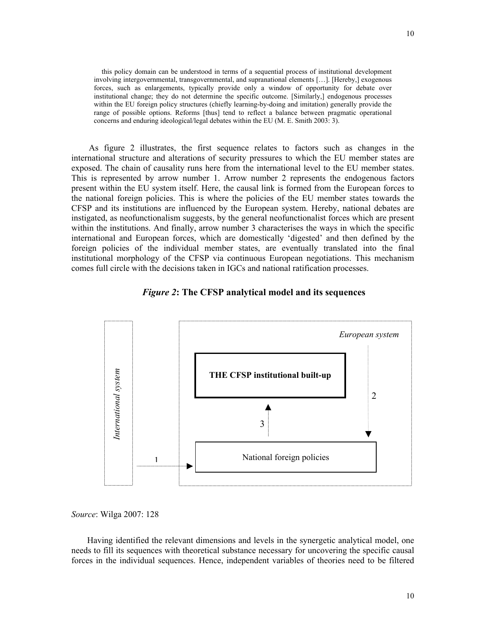this policy domain can be understood in terms of a sequential process of institutional development involving intergovernmental, transgovernmental, and supranational elements […]. [Hereby,] exogenous forces, such as enlargements, typically provide only a window of opportunity for debate over institutional change; they do not determine the specific outcome. [Similarly,] endogenous processes within the EU foreign policy structures (chiefly learning-by-doing and imitation) generally provide the range of possible options. Reforms [thus] tend to reflect a balance between pragmatic operational concerns and enduring ideological/legal debates within the EU (M. E. Smith 2003: 3).

 As figure 2 illustrates, the first sequence relates to factors such as changes in the international structure and alterations of security pressures to which the EU member states are exposed. The chain of causality runs here from the international level to the EU member states. This is represented by arrow number 1. Arrow number 2 represents the endogenous factors present within the EU system itself. Here, the causal link is formed from the European forces to the national foreign policies. This is where the policies of the EU member states towards the CFSP and its institutions are influenced by the European system. Hereby, national debates are instigated, as neofunctionalism suggests, by the general neofunctionalist forces which are present within the institutions. And finally, arrow number 3 characterises the ways in which the specific international and European forces, which are domestically 'digested' and then defined by the foreign policies of the individual member states, are eventually translated into the final institutional morphology of the CFSP via continuous European negotiations. This mechanism comes full circle with the decisions taken in IGCs and national ratification processes.





*Source*: Wilga 2007: 128

Having identified the relevant dimensions and levels in the synergetic analytical model, one needs to fill its sequences with theoretical substance necessary for uncovering the specific causal forces in the individual sequences. Hence, independent variables of theories need to be filtered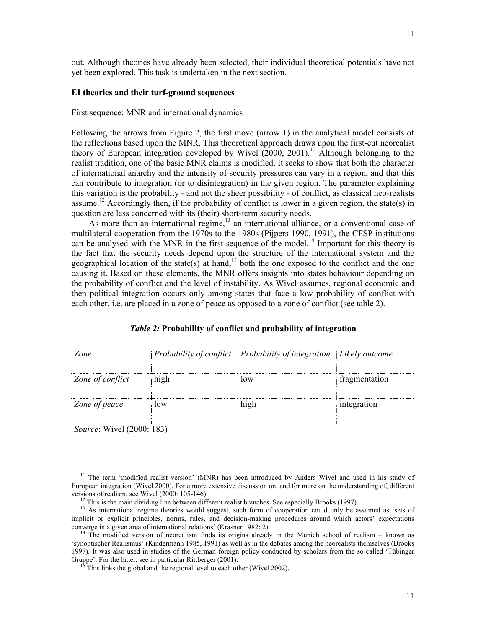out. Although theories have already been selected, their individual theoretical potentials have not yet been explored. This task is undertaken in the next section.

#### **EI theories and their turf-ground sequences**

First sequence: MNR and international dynamics

Following the arrows from Figure 2, the first move (arrow 1) in the analytical model consists of the reflections based upon the MNR. This theoretical approach draws upon the first-cut neorealist theory of European integration developed by Wivel  $(2000, 2001)$ .<sup>11</sup> Although belonging to the realist tradition, one of the basic MNR claims is modified. It seeks to show that both the character of international anarchy and the intensity of security pressures can vary in a region, and that this can contribute to integration (or to disintegration) in the given region. The parameter explaining this variation is the probability - and not the sheer possibility - of conflict, as classical neo-realists assume.12 Accordingly then, if the probability of conflict is lower in a given region, the state(s) in question are less concerned with its (their) short-term security needs.

As more than an international regime, $13$  an international alliance, or a conventional case of multilateral cooperation from the 1970s to the 1980s (Pijpers 1990, 1991), the CFSP institutions can be analysed with the MNR in the first sequence of the model.<sup>14</sup> Important for this theory is the fact that the security needs depend upon the structure of the international system and the geographical location of the state(s) at hand,<sup>15</sup> both the one exposed to the conflict and the one causing it. Based on these elements, the MNR offers insights into states behaviour depending on the probability of conflict and the level of instability. As Wivel assumes, regional economic and then political integration occurs only among states that face a low probability of conflict with each other, i.e. are placed in a zone of peace as opposed to a zone of conflict (see table 2).

| Zone                             |      | Probability of conflict Probability of integration Likely outcome |               |
|----------------------------------|------|-------------------------------------------------------------------|---------------|
| Zone of conflict                 | high | low                                                               | fragmentation |
| Zone of peace                    | low  | high                                                              | integration   |
| <i>Source:</i> Wivel (2000: 183) |      |                                                                   |               |

#### *Table 2:* **Probability of conflict and probability of integration**

 $\overline{\phantom{a}}$ 

<sup>&</sup>lt;sup>11</sup> The term 'modified realist version' (MNR) has been introduced by Anders Wivel and used in his study of European integration (Wivel 2000). For a more extensive discussion on, and for more on the understanding of, different versions of realism, see Wivel (2000: 105-146).

<sup>&</sup>lt;sup>12</sup> This is the main dividing line between different realist branches. See especially Brooks (1997).

<sup>&</sup>lt;sup>13</sup> As international regime theories would suggest, such form of cooperation could only be assumed as 'sets of implicit or explicit principles, norms, rules, and decision-making procedures around which actors' expectations converge in a given area of international relations' (Krasner 1982: 2).

<sup>&</sup>lt;sup>14</sup> The modified version of neorealism finds its origins already in the Munich school of realism – known as 'synoptischer Realismus' (Kindermann 1985, 1991) as well as in the debates among the neorealists themselves (Brooks 1997). It was also used in studies of the German foreign policy conducted by scholars from the so called 'Tübinger Gruppe'. For the latter, see in particular Rittberger (2001).

This links the global and the regional level to each other (Wivel 2002).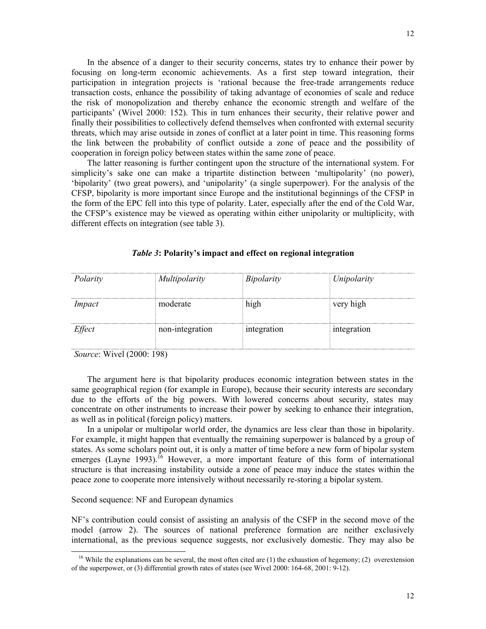In the absence of a danger to their security concerns, states try to enhance their power by focusing on long-term economic achievements. As a first step toward integration, their participation in integration projects is 'rational because the free-trade arrangements reduce transaction costs, enhance the possibility of taking advantage of economies of scale and reduce the risk of monopolization and thereby enhance the economic strength and welfare of the participants' (Wivel 2000: 152). This in turn enhances their security, their relative power and finally their possibilities to collectively defend themselves when confronted with external security threats, which may arise outside in zones of conflict at a later point in time. This reasoning forms the link between the probability of conflict outside a zone of peace and the possibility of cooperation in foreign policy between states within the same zone of peace.

The latter reasoning is further contingent upon the structure of the international system. For simplicity's sake one can make a tripartite distinction between 'multipolarity' (no power), 'bipolarity' (two great powers), and 'unipolarity' (a single superpower). For the analysis of the CFSP, bipolarity is more important since Europe and the institutional beginnings of the CFSP in the form of the EPC fell into this type of polarity. Later, especially after the end of the Cold War, the CFSP's existence may be viewed as operating within either unipolarity or multiplicity, with different effects on integration (see table 3).

| Polarity | Multipolarity   | Bipolarity  | Unipolarity |
|----------|-----------------|-------------|-------------|
| Impact   | moderate        | high        | very high   |
| Effect   | non-integration | integration | integration |
|          |                 |             |             |

#### *Table 3***: Polarity's impact and effect on regional integration**

*Source*: Wivel (2000: 198)

 $\overline{\phantom{a}}$ 

The argument here is that bipolarity produces economic integration between states in the same geographical region (for example in Europe), because their security interests are secondary due to the efforts of the big powers. With lowered concerns about security, states may concentrate on other instruments to increase their power by seeking to enhance their integration, as well as in political (foreign policy) matters.

In a unipolar or multipolar world order, the dynamics are less clear than those in bipolarity. For example, it might happen that eventually the remaining superpower is balanced by a group of states. As some scholars point out, it is only a matter of time before a new form of bipolar system emerges (Layne 1993).<sup>16</sup> However, a more important feature of this form of international structure is that increasing instability outside a zone of peace may induce the states within the peace zone to cooperate more intensively without necessarily re-storing a bipolar system.

# Second sequence: NF and European dynamics

NF's contribution could consist of assisting an analysis of the CSFP in the second move of the model (arrow 2). The sources of national preference formation are neither exclusively international, as the previous sequence suggests, nor exclusively domestic. They may also be

 $16$  While the explanations can be several, the most often cited are (1) the exhaustion of hegemony; (2) overextension of the superpower, or (3) differential growth rates of states (see Wivel 2000: 164-68, 2001: 9-12).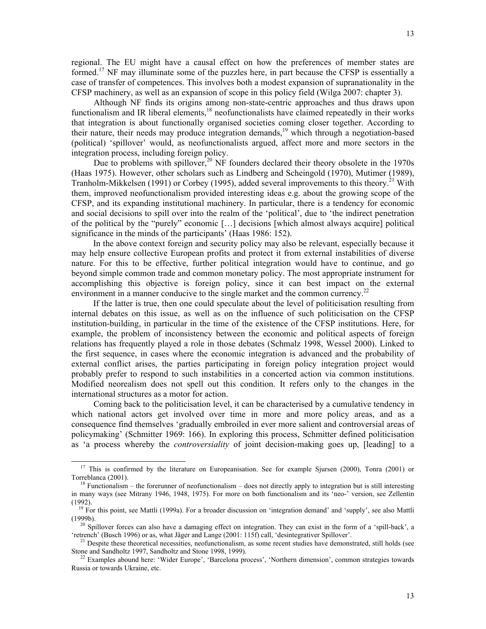Although NF finds its origins among non-state-centric approaches and thus draws upon functionalism and IR liberal elements,<sup>18</sup> neofunctionalists have claimed repeatedly in their works that integration is about functionally organised societies coming closer together. According to their nature, their needs may produce integration demands, 19 which through a negotiation-based (political) 'spillover' would, as neofunctionalists argued, affect more and more sectors in the integration process, including foreign policy.

Due to problems with spillover, $20$ <sup>20</sup> NF founders declared their theory obsolete in the 1970s (Haas 1975). However, other scholars such as Lindberg and Scheingold (1970), Mutimer (1989), Tranholm-Mikkelsen (1991) or Corbey (1995), added several improvements to this theory.<sup>21</sup> With them, improved neofunctionalism provided interesting ideas e.g. about the growing scope of the CFSP, and its expanding institutional machinery. In particular, there is a tendency for economic and social decisions to spill over into the realm of the 'political', due to 'the indirect penetration of the political by the "purely" economic […] decisions [which almost always acquire] political significance in the minds of the participants' (Haas 1986: 152).

 In the above context foreign and security policy may also be relevant, especially because it may help ensure collective European profits and protect it from external instabilities of diverse nature. For this to be effective, further political integration would have to continue, and go beyond simple common trade and common monetary policy. The most appropriate instrument for accomplishing this objective is foreign policy, since it can best impact on the external environment in a manner conducive to the single market and the common currency.<sup>22</sup>

 If the latter is true, then one could speculate about the level of politicisation resulting from internal debates on this issue, as well as on the influence of such politicisation on the CFSP institution-building, in particular in the time of the existence of the CFSP institutions. Here, for example, the problem of inconsistency between the economic and political aspects of foreign relations has frequently played a role in those debates (Schmalz 1998, Wessel 2000). Linked to the first sequence, in cases where the economic integration is advanced and the probability of external conflict arises, the parties participating in foreign policy integration project would probably prefer to respond to such instabilities in a concerted action via common institutions. Modified neorealism does not spell out this condition. It refers only to the changes in the international structures as a motor for action.

 Coming back to the politicisation level, it can be characterised by a cumulative tendency in which national actors get involved over time in more and more policy areas, and as a consequence find themselves 'gradually embroiled in ever more salient and controversial areas of policymaking' (Schmitter 1969: 166). In exploring this process, Schmitter defined politicisation as 'a process whereby the *controversiality* of joint decision-making goes up, [leading] to a

 $\overline{a}$ 

<sup>&</sup>lt;sup>17</sup> This is confirmed by the literature on Europeanisation. See for example Sjursen (2000), Tonra (2001) or Torreblanca (2001).

 $18$  Functionalism – the forerunner of neofunctionalism – does not directly apply to integration but is still interesting in many ways (see Mitrany 1946, 1948, 1975). For more on both functionalism and its 'neo-' version, see Zellentin (1992).

<sup>&</sup>lt;sup>19</sup> For this point, see Mattli (1999a). For a broader discussion on 'integration demand' and 'supply', see also Mattli (1999b).

<sup>&</sup>lt;sup>20</sup> Spillover forces can also have a damaging effect on integration. They can exist in the form of a 'spill-back', a 'retrench' (Busch 1996) or as, what Jäger and Lange (2001: 115f) call, 'desintegrativer Spillover'.

 $21$  Despite these theoretical necessities, neofunctionalism, as some recent studies have demonstrated, still holds (see Stone and Sandholtz 1997, Sandholtz and Stone 1998, 1999).

 $22$  Examples abound here: 'Wider Europe', 'Barcelona process', 'Northern dimension', common strategies towards Russia or towards Ukraine, etc.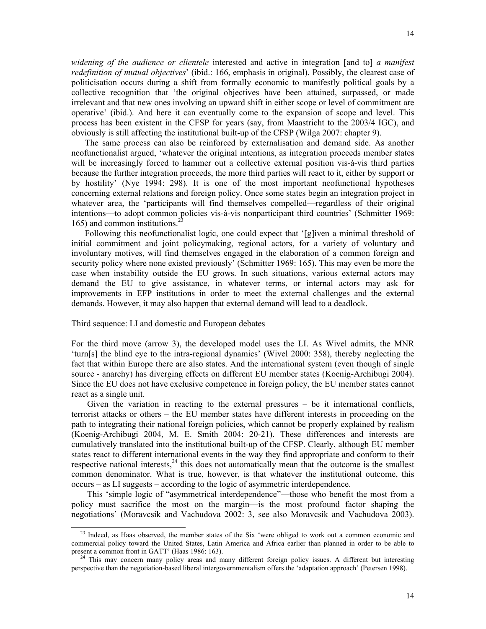*widening of the audience or clientele* interested and active in integration [and to] *a manifest redefinition of mutual objectives*' (ibid.: 166, emphasis in original). Possibly, the clearest case of politicisation occurs during a shift from formally economic to manifestly political goals by a collective recognition that 'the original objectives have been attained, surpassed, or made irrelevant and that new ones involving an upward shift in either scope or level of commitment are operative' (ibid.). And here it can eventually come to the expansion of scope and level. This process has been existent in the CFSP for years (say, from Maastricht to the 2003/4 IGC), and obviously is still affecting the institutional built-up of the CFSP (Wilga 2007: chapter 9).

The same process can also be reinforced by externalisation and demand side. As another neofunctionalist argued, 'whatever the original intentions, as integration proceeds member states will be increasingly forced to hammer out a collective external position vis-à-vis third parties because the further integration proceeds, the more third parties will react to it, either by support or by hostility' (Nye 1994: 298). It is one of the most important neofunctional hypotheses concerning external relations and foreign policy. Once some states begin an integration project in whatever area, the 'participants will find themselves compelled—regardless of their original intentions––to adopt common policies vis-à-vis nonparticipant third countries' (Schmitter 1969: 165) and common institutions. $3$ 

Following this neofunctionalist logic, one could expect that '[g]iven a minimal threshold of initial commitment and joint policymaking, regional actors, for a variety of voluntary and involuntary motives, will find themselves engaged in the elaboration of a common foreign and security policy where none existed previously' (Schmitter 1969: 165). This may even be more the case when instability outside the EU grows. In such situations, various external actors may demand the EU to give assistance, in whatever terms, or internal actors may ask for improvements in EFP institutions in order to meet the external challenges and the external demands. However, it may also happen that external demand will lead to a deadlock.

# Third sequence: LI and domestic and European debates

 $\overline{\phantom{a}}$ 

For the third move (arrow 3), the developed model uses the LI. As Wivel admits, the MNR 'turn[s] the blind eye to the intra-regional dynamics' (Wivel 2000: 358), thereby neglecting the fact that within Europe there are also states. And the international system (even though of single source - anarchy) has diverging effects on different EU member states (Koenig-Archibugi 2004). Since the EU does not have exclusive competence in foreign policy, the EU member states cannot react as a single unit.

Given the variation in reacting to the external pressures – be it international conflicts, terrorist attacks or others – the EU member states have different interests in proceeding on the path to integrating their national foreign policies, which cannot be properly explained by realism (Koenig-Archibugi 2004, M. E. Smith 2004: 20-21). These differences and interests are cumulatively translated into the institutional built-up of the CFSP. Clearly, although EU member states react to different international events in the way they find appropriate and conform to their respective national interests, $^{24}$  this does not automatically mean that the outcome is the smallest common denominator. What is true, however, is that whatever the institutional outcome, this occurs – as LI suggests – according to the logic of asymmetric interdependence.

This 'simple logic of "asymmetrical interdependence"––those who benefit the most from a policy must sacrifice the most on the margin––is the most profound factor shaping the negotiations' (Moravcsik and Vachudova 2002: 3, see also Moravcsik and Vachudova 2003).

 $^{23}$  Indeed, as Haas observed, the member states of the Six 'were obliged to work out a common economic and commercial policy toward the United States, Latin America and Africa earlier than planned in order to be able to present a common front in GATT' (Haas 1986: 163).

<sup>&</sup>lt;sup>24</sup> This may concern many policy areas and many different foreign policy issues. A different but interesting perspective than the negotiation-based liberal intergovernmentalism offers the 'adaptation approach' (Petersen 1998).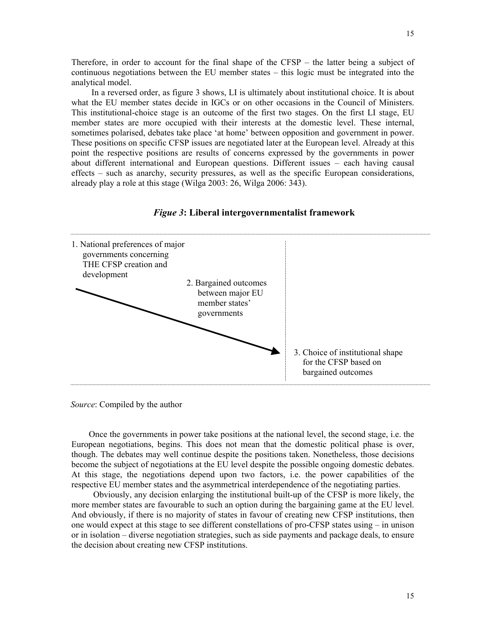Therefore, in order to account for the final shape of the CFSP – the latter being a subject of continuous negotiations between the EU member states – this logic must be integrated into the analytical model.

 In a reversed order, as figure 3 shows, LI is ultimately about institutional choice. It is about what the EU member states decide in IGCs or on other occasions in the Council of Ministers. This institutional-choice stage is an outcome of the first two stages. On the first LI stage, EU member states are more occupied with their interests at the domestic level. These internal, sometimes polarised, debates take place 'at home' between opposition and government in power. These positions on specific CFSP issues are negotiated later at the European level. Already at this point the respective positions are results of concerns expressed by the governments in power about different international and European questions. Different issues – each having causal effects – such as anarchy, security pressures, as well as the specific European considerations, already play a role at this stage (Wilga 2003: 26, Wilga 2006: 343).



# *Figue 3***: Liberal intergovernmentalist framework**

*Source*: Compiled by the author

 Once the governments in power take positions at the national level, the second stage, i.e. the European negotiations, begins. This does not mean that the domestic political phase is over, though. The debates may well continue despite the positions taken. Nonetheless, those decisions become the subject of negotiations at the EU level despite the possible ongoing domestic debates. At this stage, the negotiations depend upon two factors, i.e. the power capabilities of the respective EU member states and the asymmetrical interdependence of the negotiating parties.

 Obviously, any decision enlarging the institutional built-up of the CFSP is more likely, the more member states are favourable to such an option during the bargaining game at the EU level. And obviously, if there is no majority of states in favour of creating new CFSP institutions, then one would expect at this stage to see different constellations of pro-CFSP states using – in unison or in isolation – diverse negotiation strategies, such as side payments and package deals, to ensure the decision about creating new CFSP institutions.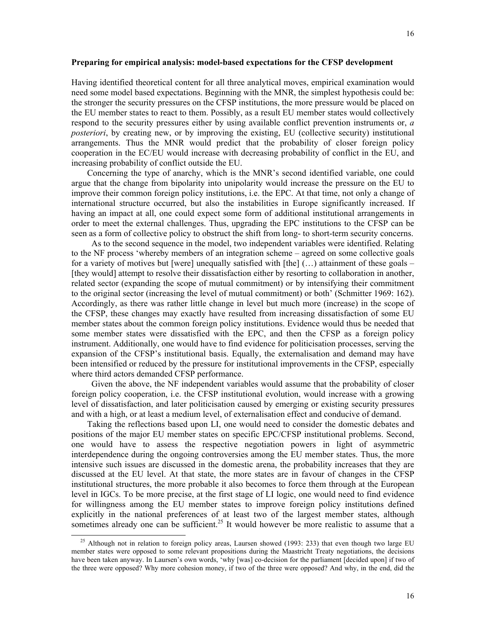#### **Preparing for empirical analysis: model-based expectations for the CFSP development**

Having identified theoretical content for all three analytical moves, empirical examination would need some model based expectations. Beginning with the MNR, the simplest hypothesis could be: the stronger the security pressures on the CFSP institutions, the more pressure would be placed on the EU member states to react to them. Possibly, as a result EU member states would collectively respond to the security pressures either by using available conflict prevention instruments or, *a posteriori*, by creating new, or by improving the existing, EU (collective security) institutional arrangements. Thus the MNR would predict that the probability of closer foreign policy cooperation in the EC/EU would increase with decreasing probability of conflict in the EU, and increasing probability of conflict outside the EU.

Concerning the type of anarchy, which is the MNR's second identified variable, one could argue that the change from bipolarity into unipolarity would increase the pressure on the EU to improve their common foreign policy institutions, i.e. the EPC. At that time, not only a change of international structure occurred, but also the instabilities in Europe significantly increased. If having an impact at all, one could expect some form of additional institutional arrangements in order to meet the external challenges. Thus, upgrading the EPC institutions to the CFSP can be seen as a form of collective policy to obstruct the shift from long- to short-term security concerns.

 As to the second sequence in the model, two independent variables were identified. Relating to the NF process 'whereby members of an integration scheme – agreed on some collective goals for a variety of motives but [were] unequally satisfied with  $[the]$  (...) attainment of these goals – [they would] attempt to resolve their dissatisfaction either by resorting to collaboration in another, related sector (expanding the scope of mutual commitment) or by intensifying their commitment to the original sector (increasing the level of mutual commitment) or both' (Schmitter 1969: 162). Accordingly, as there was rather little change in level but much more (increase) in the scope of the CFSP, these changes may exactly have resulted from increasing dissatisfaction of some EU member states about the common foreign policy institutions. Evidence would thus be needed that some member states were dissatisfied with the EPC, and then the CFSP as a foreign policy instrument. Additionally, one would have to find evidence for politicisation processes, serving the expansion of the CFSP's institutional basis. Equally, the externalisation and demand may have been intensified or reduced by the pressure for institutional improvements in the CFSP, especially where third actors demanded CFSP performance.

 Given the above, the NF independent variables would assume that the probability of closer foreign policy cooperation, i.e. the CFSP institutional evolution, would increase with a growing level of dissatisfaction, and later politicisation caused by emerging or existing security pressures and with a high, or at least a medium level, of externalisation effect and conducive of demand.

Taking the reflections based upon LI, one would need to consider the domestic debates and positions of the major EU member states on specific EPC/CFSP institutional problems. Second, one would have to assess the respective negotiation powers in light of asymmetric interdependence during the ongoing controversies among the EU member states. Thus, the more intensive such issues are discussed in the domestic arena, the probability increases that they are discussed at the EU level. At that state, the more states are in favour of changes in the CFSP institutional structures, the more probable it also becomes to force them through at the European level in IGCs. To be more precise, at the first stage of LI logic, one would need to find evidence for willingness among the EU member states to improve foreign policy institutions defined explicitly in the national preferences of at least two of the largest member states, although sometimes already one can be sufficient.<sup>25</sup> It would however be more realistic to assume that a

 $\overline{\phantom{a}}$ 

<sup>&</sup>lt;sup>25</sup> Although not in relation to foreign policy areas, Laursen showed (1993: 233) that even though two large EU member states were opposed to some relevant propositions during the Maastricht Treaty negotiations, the decisions have been taken anyway. In Laursen's own words, 'why [was] co-decision for the parliament [decided upon] if two of the three were opposed? Why more cohesion money, if two of the three were opposed? And why, in the end, did the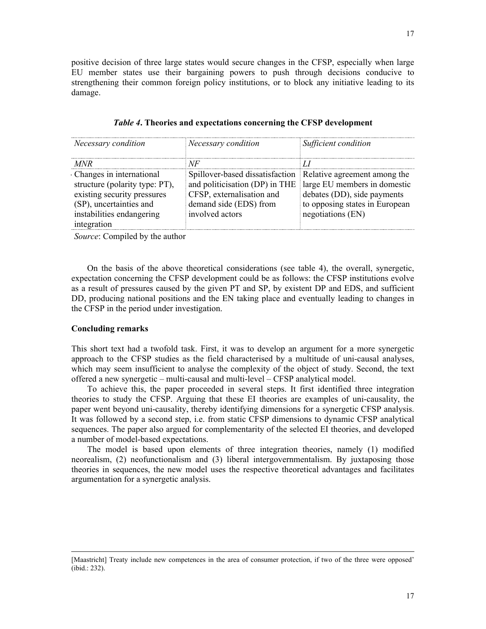positive decision of three large states would secure changes in the CFSP, especially when large EU member states use their bargaining powers to push through decisions conducive to strengthening their common foreign policy institutions, or to block any initiative leading to its damage.

| Necessary condition            | Necessary condition                                          | Sufficient condition           |
|--------------------------------|--------------------------------------------------------------|--------------------------------|
| MNR                            | NF                                                           |                                |
| Changes in international       | Spillover-based dissatisfaction Relative agreement among the |                                |
| structure (polarity type: PT), | and politicisation (DP) in THE                               | large EU members in domestic   |
| existing security pressures    | CFSP, externalisation and                                    | debates (DD), side payments    |
| (SP), uncertainties and        | demand side (EDS) from                                       | to opposing states in European |
| instabilities endangering      | involved actors                                              | negotiations (EN)              |
| integration                    |                                                              |                                |
| Course Compiled by the outhor  |                                                              |                                |

| Table 4. Theories and expectations concerning the CFSP development |
|--------------------------------------------------------------------|
|--------------------------------------------------------------------|

*Source*: Compiled by the author

On the basis of the above theoretical considerations (see table 4), the overall, synergetic, expectation concerning the CFSP development could be as follows: the CFSP institutions evolve as a result of pressures caused by the given PT and SP, by existent DP and EDS, and sufficient DD, producing national positions and the EN taking place and eventually leading to changes in the CFSP in the period under investigation.

#### **Concluding remarks**

 $\overline{\phantom{a}}$ 

This short text had a twofold task. First, it was to develop an argument for a more synergetic approach to the CFSP studies as the field characterised by a multitude of uni-causal analyses, which may seem insufficient to analyse the complexity of the object of study. Second, the text offered a new synergetic – multi-causal and multi-level – CFSP analytical model.

To achieve this, the paper proceeded in several steps. It first identified three integration theories to study the CFSP. Arguing that these EI theories are examples of uni-causality, the paper went beyond uni-causality, thereby identifying dimensions for a synergetic CFSP analysis. It was followed by a second step, i.e. from static CFSP dimensions to dynamic CFSP analytical sequences. The paper also argued for complementarity of the selected EI theories, and developed a number of model-based expectations.

The model is based upon elements of three integration theories, namely (1) modified neorealism, (2) neofunctionalism and (3) liberal intergovernmentalism. By juxtaposing those theories in sequences, the new model uses the respective theoretical advantages and facilitates argumentation for a synergetic analysis.

<sup>[</sup>Maastricht] Treaty include new competences in the area of consumer protection, if two of the three were opposed' (ibid.: 232).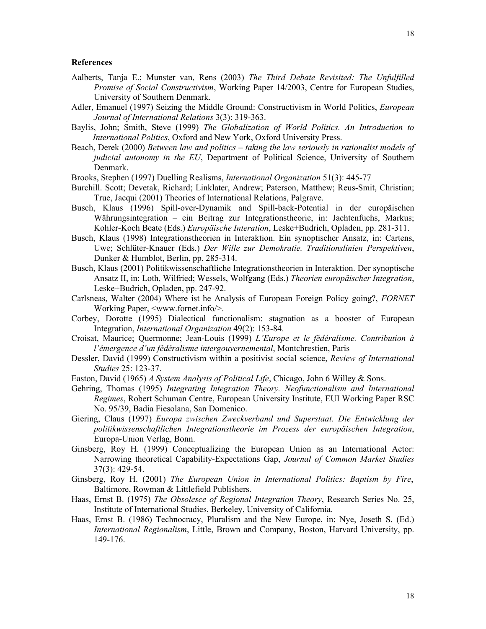- Aalberts, Tanja E.; Munster van, Rens (2003) *The Third Debate Revisited: The Unfulfilled Promise of Social Constructivism*, Working Paper 14/2003, Centre for European Studies, University of Southern Denmark.
- Adler, Emanuel (1997) Seizing the Middle Ground: Constructivism in World Politics, *European Journal of International Relations* 3(3): 319-363.
- Baylis, John; Smith, Steve (1999) *The Globalization of World Politics. An Introduction to International Politics*, Oxford and New York, Oxford University Press.
- Beach, Derek (2000) *Between law and politics taking the law seriously in rationalist models of judicial autonomy in the EU*, Department of Political Science, University of Southern Denmark.
- Brooks, Stephen (1997) Duelling Realisms, *International Organization* 51(3): 445-77
- Burchill. Scott; Devetak, Richard; Linklater, Andrew; Paterson, Matthew; Reus-Smit, Christian; True, Jacqui (2001) Theories of International Relations, Palgrave.
- Busch, Klaus (1996) Spill-over-Dynamik and Spill-back-Potential in der europäischen Währungsintegration – ein Beitrag zur Integrationstheorie, in: Jachtenfuchs, Markus; Kohler-Koch Beate (Eds.) *Europäische Interation*, Leske+Budrich, Opladen, pp. 281-311.
- Busch, Klaus (1998) Integrationstheorien in Interaktion. Ein synoptischer Ansatz, in: Cartens, Uwe; Schlüter-Knauer (Eds.) *Der Wille zur Demokratie. Traditionslinien Perspektiven*, Dunker & Humblot, Berlin, pp. 285-314.
- Busch, Klaus (2001) Politikwissenschaftliche Integrationstheorien in Interaktion. Der synoptische Ansatz II, in: Loth, Wilfried; Wessels, Wolfgang (Eds.) *Theorien europäischer Integration*, Leske+Budrich, Opladen, pp. 247-92.
- Carlsneas, Walter (2004) Where ist he Analysis of European Foreign Policy going?, *FORNET* Working Paper, <www.fornet.info/>.
- Corbey, Dorotte (1995) Dialectical functionalism: stagnation as a booster of European Integration, *International Organization* 49(2): 153-84.
- Croisat, Maurice; Quermonne; Jean-Louis (1999) *L'Europe et le fédéralisme. Contribution à l'émergence d'un fédéralisme intergouvernemental*, Montchrestien, Paris
- Dessler, David (1999) Constructivism within a positivist social science, *Review of International Studies* 25: 123-37.
- Easton, David (1965) *A System Analysis of Political Life*, Chicago, John 6 Willey & Sons.
- Gehring, Thomas (1995) *Integrating Integration Theory. Neofunctionalism and International Regimes*, Robert Schuman Centre, European University Institute, EUI Working Paper RSC No. 95/39, Badia Fiesolana, San Domenico.
- Giering, Claus (1997) *Europa zwischen Zweckverband und Superstaat. Die Entwicklung der politikwissenschaftlichen Integrationstheorie im Prozess der europäischen Integration*, Europa-Union Verlag, Bonn.
- Ginsberg, Roy H. (1999) Conceptualizing the European Union as an International Actor: Narrowing theoretical Capability-Expectations Gap, *Journal of Common Market Studies*  37(3): 429-54.
- Ginsberg, Roy H. (2001) *The European Union in International Politics: Baptism by Fire*, Baltimore, Rowman & Littlefield Publishers.
- Haas, Ernst B. (1975) *The Obsolesce of Regional Integration Theory*, Research Series No. 25, Institute of International Studies, Berkeley, University of California.
- Haas, Ernst B. (1986) Technocracy, Pluralism and the New Europe, in: Nye, Joseth S. (Ed.) *International Regionalism*, Little, Brown and Company, Boston, Harvard University, pp. 149-176.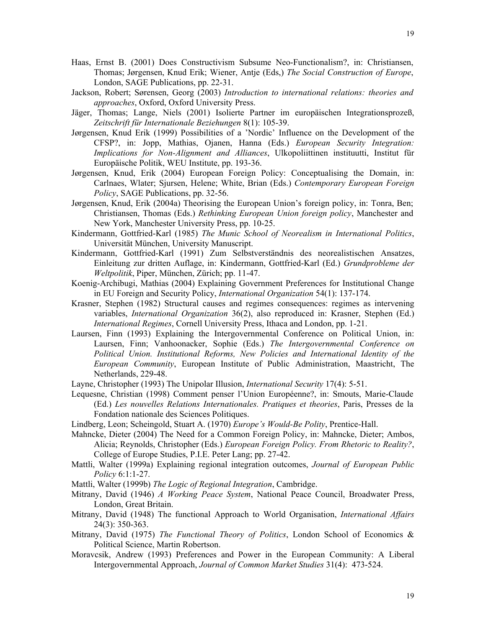- Haas, Ernst B. (2001) Does Constructivism Subsume Neo-Functionalism?, in: Christiansen, Thomas; Jørgensen, Knud Erik; Wiener, Antje (Eds,) *The Social Construction of Europe*, London, SAGE Publications, pp. 22-31.
- Jackson, Robert; Sørensen, Georg (2003) *Introduction to international relations: theories and approaches*, Oxford, Oxford University Press.
- Jäger, Thomas; Lange, Niels (2001) Isolierte Partner im europäischen Integrationsprozeß, *Zeitschrift für Internationale Beziehungen* 8(1): 105-39.
- Jørgensen, Knud Erik (1999) Possibilities of a 'Nordic' Influence on the Development of the CFSP?, in: Jopp, Mathias, Ojanen, Hanna (Eds.) *European Security Integration: Implications for Non-Alignment and Alliances*, Ulkopoliittinen instituutti, Institut für Europäische Politik, WEU Institute, pp. 193-36.
- Jørgensen, Knud, Erik (2004) European Foreign Policy: Conceptualising the Domain, in: Carlnaes, Wlater; Sjursen, Helene; White, Brian (Eds.) *Contemporary European Foreign Policy*, SAGE Publications, pp. 32-56.
- Jørgensen, Knud, Erik (2004a) Theorising the European Union's foreign policy, in: Tonra, Ben; Christiansen, Thomas (Eds.) *Rethinking European Union foreign policy*, Manchester and New York, Manchester University Press, pp. 10-25.
- Kindermann, Gottfried-Karl (1985) *The Munic School of Neorealism in International Politics*, Universität München, University Manuscript.
- Kindermann, Gottfried-Karl (1991) Zum Selbstverständnis des neorealistischen Ansatzes, Einleitung zur dritten Auflage, in: Kindermann, Gottfried-Karl (Ed.) *Grundprobleme der Weltpolitik*, Piper, München, Zürich; pp. 11-47.
- Koenig-Archibugi, Mathias (2004) Explaining Government Preferences for Institutional Change in EU Foreign and Security Policy, *International Organization* 54(1): 137-174.
- Krasner, Stephen (1982) Structural causes and regimes consequences: regimes as intervening variables, *International Organization* 36(2), also reproduced in: Krasner, Stephen (Ed.) *International Regimes*, Cornell University Press, Ithaca and London, pp. 1-21.
- Laursen, Finn (1993) Explaining the Intergovernmental Conference on Political Union, in: Laursen, Finn; Vanhoonacker, Sophie (Eds.) *The Intergovernmental Conference on Political Union. Institutional Reforms, New Policies and International Identity of the European Community*, European Institute of Public Administration, Maastricht, The Netherlands, 229-48.
- Layne, Christopher (1993) The Unipolar Illusion, *International Security* 17(4): 5-51.
- Lequesne, Christian (1998) Comment penser l'Union Européenne?, in: Smouts, Marie-Claude (Ed.) *Les nouvelles Relations Internationales. Pratiques et theories*, Paris, Presses de la Fondation nationale des Sciences Politiques.
- Lindberg, Leon; Scheingold, Stuart A. (1970) *Europe's Would-Be Polity*, Prentice-Hall.
- Mahncke, Dieter (2004) The Need for a Common Foreign Policy, in: Mahncke, Dieter; Ambos, Alicia; Reynolds, Christopher (Eds.) *European Foreign Policy. From Rhetoric to Reality?*, College of Europe Studies, P.I.E. Peter Lang; pp. 27-42.
- Mattli, Walter (1999a) Explaining regional integration outcomes, *Journal of European Public Policy* 6:1:1-27.
- Mattli, Walter (1999b) *The Logic of Regional Integration*, Cambridge.
- Mitrany, David (1946) *A Working Peace System*, National Peace Council, Broadwater Press, London, Great Britain.
- Mitrany, David (1948) The functional Approach to World Organisation, *International Affairs* 24(3): 350-363.
- Mitrany, David (1975) *The Functional Theory of Politics*, London School of Economics & Political Science, Martin Robertson.
- Moravcsik, Andrew (1993) Preferences and Power in the European Community: A Liberal Intergovernmental Approach, *Journal of Common Market Studies* 31(4): 473-524.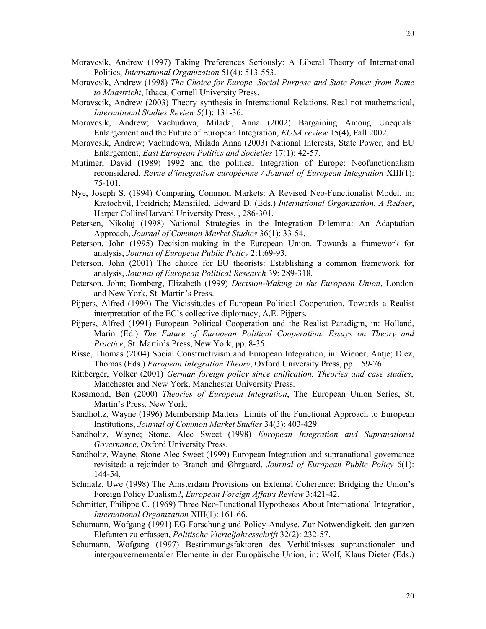- Moravcsik, Andrew (1997) Taking Preferences Seriously: A Liberal Theory of International Politics, *International Organization* 51(4): 513-553.
- Moravcsik, Andrew (1998) *The Choice for Europe. Social Purpose and State Power from Rome to Maastricht*, Ithaca, Cornell University Press.
- Moravscik, Andrew (2003) Theory synthesis in International Relations. Real not mathematical, *International Studies Review* 5(1): 131-36.
- Moravcsik, Andrew; Vachudova, Milada, Anna (2002) Bargaining Among Unequals: Enlargement and the Future of European Integration, *EUSA review* 15(4), Fall 2002.
- Moravcsik, Andrew; Vachudowa, Milada Anna (2003) National Interests, State Power, and EU Enlargement, *East European Politics and Societies* 17(1): 42-57.
- Mutimer, David (1989) 1992 and the political Integration of Europe: Neofunctionalism reconsidered, *Revue d'integration européenne / Journal of European Integration* XIII(1): 75-101.
- Nye, Joseph S. (1994) Comparing Common Markets: A Revised Neo-Functionalist Model, in: Kratochvil, Freidrich; Mansfiled, Edward D. (Eds.) *International Organization. A Redaer*, Harper CollinsHarvard University Press, , 286-301.
- Petersen, Nikolaj (1998) National Strategies in the Integration Dilemma: An Adaptation Approach, *Journal of Common Market Studies* 36(1): 33-54.
- Peterson, John (1995) Decision-making in the European Union. Towards a framework for analysis, *Journal of European Public Policy* 2:1:69-93.
- Peterson, John (2001) The choice for EU theorists: Establishing a common framework for analysis, *Journal of European Political Research* 39: 289-318.
- Peterson, John; Bomberg, Elizabeth (1999) *Decision-Making in the European Union*, London and New York, St. Martin's Press.
- Pijpers, Alfred (1990) The Vicissitudes of European Political Cooperation. Towards a Realist interpretation of the EC's collective diplomacy, A.E. Pijpers.
- Pijpers, Alfred (1991) European Political Cooperation and the Realist Paradigm, in: Holland, Marin (Ed.) *The Future of European Political Cooperation. Essays on Theory and Practice*, St. Martin's Press, New York, pp. 8-35.
- Risse, Thomas (2004) Social Constructivism and European Integration, in: Wiener, Antje; Diez, Thomas (Eds.) *European Integration Theory*, Oxford University Press, pp. 159-76.
- Rittberger, Volker (2001) *German foreign policy since unification. Theories and case studies*, Manchester and New York, Manchester University Press.
- Rosamond, Ben (2000) *Theories of European Integration*, The European Union Series, St. Martin's Press, New York.
- Sandholtz, Wayne (1996) Membership Matters: Limits of the Functional Approach to European Institutions, *Journal of Common Market Studies* 34(3): 403-429.
- Sandholtz, Wayne; Stone, Alec Sweet (1998) *European Integration and Supranational Governance*, Oxford University Press.
- Sandholtz, Wayne, Stone Alec Sweet (1999) European Integration and supranational governance revisited: a rejoinder to Branch and Øhrgaard, *Journal of European Public Policy* 6(1): 144-54.
- Schmalz, Uwe (1998) The Amsterdam Provisions on External Coherence: Bridging the Union's Foreign Policy Dualism?, *European Foreign Affairs Review* 3:421-42.
- Schmitter, Philippe C. (1969) Three Neo-Functional Hypotheses About International Integration, *International Organization* XIII(1): 161-66.
- Schumann, Wofgang (1991) EG-Forschung und Policy-Analyse. Zur Notwendigkeit, den ganzen Elefanten zu erfassen, *Politische Vierteljahresschrift* 32(2): 232-57.
- Schumann, Wofgang (1997) Bestimmungsfaktoren des Verhältnisses supranationaler und intergouvernementaler Elemente in der Europäische Union, in: Wolf, Klaus Dieter (Eds.)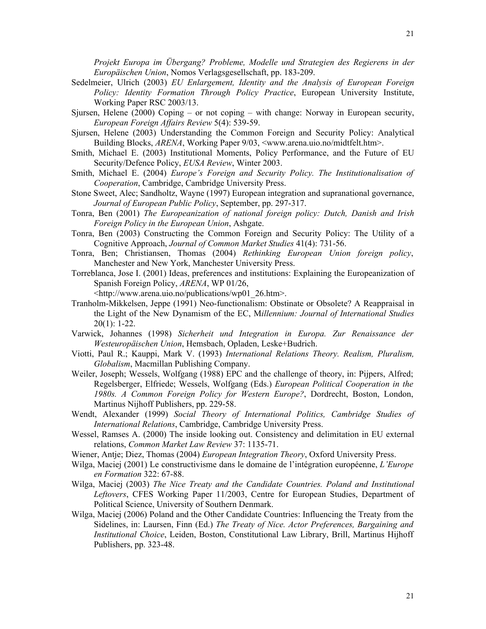*Projekt Europa im Übergang? Probleme, Modelle und Strategien des Regierens in der Europäischen Union*, Nomos Verlagsgesellschaft, pp. 183-209.

- Sedelmeier, Ulrich (2003) *EU Enlargement, Identity and the Analysis of European Foreign Policy: Identity Formation Through Policy Practice*, European University Institute, Working Paper RSC 2003/13.
- Sjursen, Helene (2000) Coping or not coping with change: Norway in European security, *European Foreign Affairs Review* 5(4): 539-59.
- Sjursen, Helene (2003) Understanding the Common Foreign and Security Policy: Analytical Building Blocks, *ARENA*, Working Paper 9/03, <www.arena.uio.no/midtfelt.htm>.
- Smith, Michael E. (2003) Institutional Moments, Policy Performance, and the Future of EU Security/Defence Policy, *EUSA Review*, Winter 2003.
- Smith, Michael E. (2004) *Europe's Foreign and Security Policy. The Institutionalisation of Cooperation*, Cambridge, Cambridge University Press.
- Stone Sweet, Alec; Sandholtz, Wayne (1997) European integration and supranational governance, *Journal of European Public Policy*, September, pp. 297-317.
- Tonra, Ben (2001) *The Europeanization of national foreign policy: Dutch, Danish and Irish Foreign Policy in the European Union*, Ashgate.
- Tonra, Ben (2003) Constructing the Common Foreign and Security Policy: The Utility of a Cognitive Approach, *Journal of Common Market Studies* 41(4): 731-56.
- Tonra, Ben; Christiansen, Thomas (2004) *Rethinking European Union foreign policy*, Manchester and New York, Manchester University Press.
- Torreblanca, Jose I. (2001) Ideas, preferences and institutions: Explaining the Europeanization of Spanish Foreign Policy, *ARENA*, WP 01/26,

<http://www.arena.uio.no/publications/wp01\_26.htm>.

- Tranholm-Mikkelsen, Jeppe (1991) Neo-functionalism: Obstinate or Obsolete? A Reappraisal in the Light of the New Dynamism of the EC, M*illennium: Journal of International Studies*   $20(1)$ : 1-22.
- Varwick, Johannes (1998) *Sicherheit und Integration in Europa. Zur Renaissance der Westeuropäischen Union*, Hemsbach, Opladen, Leske+Budrich.
- Viotti, Paul R.; Kauppi, Mark V. (1993) *International Relations Theory. Realism, Pluralism, Globalism*, Macmillan Publishing Company.
- Weiler, Joseph; Wessels, Wolfgang (1988) EPC and the challenge of theory, in: Pijpers, Alfred; Regelsberger, Elfriede; Wessels, Wolfgang (Eds.) *European Political Cooperation in the 1980s. A Common Foreign Policy for Western Europe?*, Dordrecht, Boston, London, Martinus Nijhoff Publishers, pp. 229-58.
- Wendt, Alexander (1999) *Social Theory of International Politics, Cambridge Studies of International Relations*, Cambridge, Cambridge University Press.
- Wessel, Ramses A. (2000) The inside looking out. Consistency and delimitation in EU external relations, *Common Market Law Review* 37: 1135-71.
- Wiener, Antje; Diez, Thomas (2004) *European Integration Theory*, Oxford University Press.
- Wilga, Maciej (2001) Le constructivisme dans le domaine de l'intégration européenne, *L'Europe en Formation* 322: 67-88.
- Wilga, Maciej (2003) *The Nice Treaty and the Candidate Countries. Poland and Institutional Leftovers*, CFES Working Paper 11/2003, Centre for European Studies, Department of Political Science, University of Southern Denmark.
- Wilga, Maciej (2006) Poland and the Other Candidate Countries: Influencing the Treaty from the Sidelines, in: Laursen, Finn (Ed.) *The Treaty of Nice. Actor Preferences, Bargaining and Institutional Choice*, Leiden, Boston, Constitutional Law Library, Brill, Martinus Hijhoff Publishers, pp. 323-48.